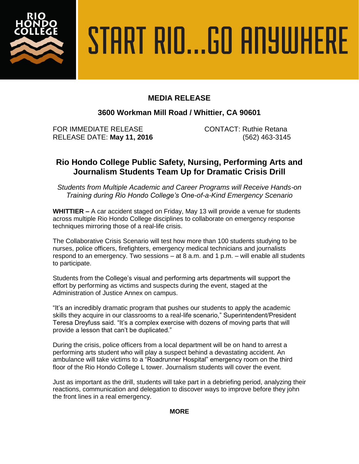

# START RIO...GO ANYWHERE

## **MEDIA RELEASE**

### **3600 Workman Mill Road / Whittier, CA 90601**

FOR IMMEDIATE RELEASE CONTACT: Ruthie Retana RELEASE DATE: **May 11, 2016** (562) 463-3145

# **Rio Hondo College Public Safety, Nursing, Performing Arts and Journalism Students Team Up for Dramatic Crisis Drill**

*Students from Multiple Academic and Career Programs will Receive Hands-on Training during Rio Hondo College's One-of-a-Kind Emergency Scenario*

**WHITTIER –** A car accident staged on Friday, May 13 will provide a venue for students across multiple Rio Hondo College disciplines to collaborate on emergency response techniques mirroring those of a real-life crisis.

The Collaborative Crisis Scenario will test how more than 100 students studying to be nurses, police officers, firefighters, emergency medical technicians and journalists respond to an emergency. Two sessions – at 8 a.m. and 1 p.m. – will enable all students to participate.

Students from the College's visual and performing arts departments will support the effort by performing as victims and suspects during the event, staged at the Administration of Justice Annex on campus.

"It's an incredibly dramatic program that pushes our students to apply the academic skills they acquire in our classrooms to a real-life scenario," Superintendent/President Teresa Dreyfuss said. "It's a complex exercise with dozens of moving parts that will provide a lesson that can't be duplicated."

During the crisis, police officers from a local department will be on hand to arrest a performing arts student who will play a suspect behind a devastating accident. An ambulance will take victims to a "Roadrunner Hospital" emergency room on the third floor of the Rio Hondo College L tower. Journalism students will cover the event.

Just as important as the drill, students will take part in a debriefing period, analyzing their reactions, communication and delegation to discover ways to improve before they john the front lines in a real emergency.

#### **MORE**